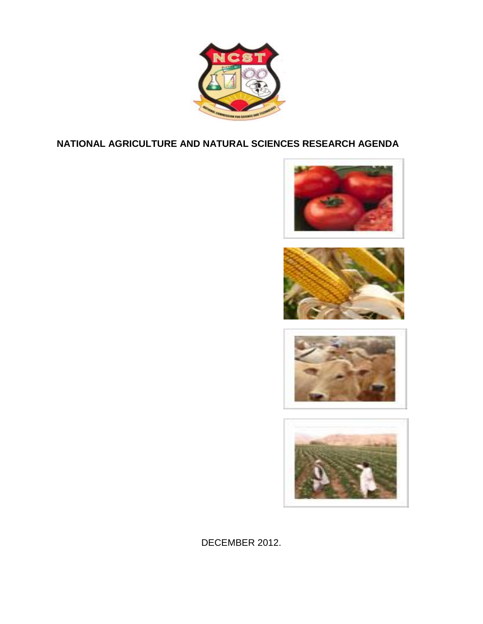

### **NATIONAL AGRICULTURE AND NATURAL SCIENCES RESEARCH AGENDA**









DECEMBER 2012.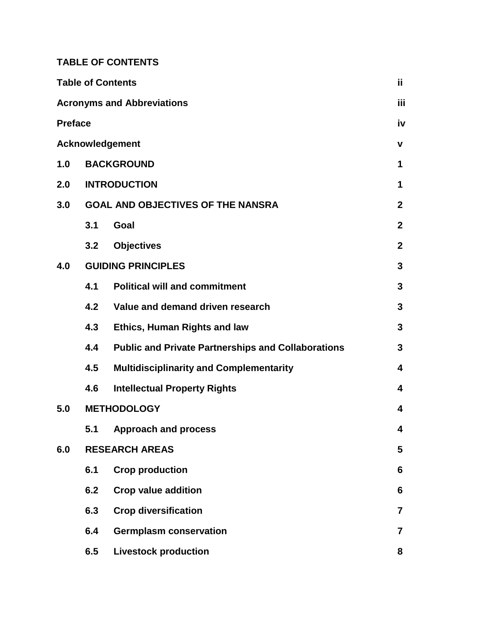**TABLE OF CONTENTS**

|                                   |     | <b>Table of Contents</b>                                  | ii.                     |  |
|-----------------------------------|-----|-----------------------------------------------------------|-------------------------|--|
| <b>Acronyms and Abbreviations</b> |     |                                                           |                         |  |
| <b>Preface</b>                    |     |                                                           |                         |  |
| Acknowledgement                   |     |                                                           |                         |  |
| 1.0                               |     | <b>BACKGROUND</b><br>1                                    |                         |  |
| 2.0                               |     | <b>INTRODUCTION</b><br>1                                  |                         |  |
| 3.0                               |     | <b>GOAL AND OBJECTIVES OF THE NANSRA</b>                  | $\mathbf{2}$            |  |
|                                   | 3.1 | Goal                                                      | $\mathbf{2}$            |  |
|                                   | 3.2 | <b>Objectives</b>                                         | $\overline{2}$          |  |
| 4.0                               |     | <b>GUIDING PRINCIPLES</b>                                 |                         |  |
|                                   | 4.1 | <b>Political will and commitment</b>                      | 3                       |  |
|                                   | 4.2 | Value and demand driven research                          | 3                       |  |
|                                   | 4.3 | <b>Ethics, Human Rights and law</b>                       | 3                       |  |
|                                   | 4.4 | <b>Public and Private Partnerships and Collaborations</b> | 3                       |  |
|                                   | 4.5 | <b>Multidisciplinarity and Complementarity</b>            | 4                       |  |
|                                   | 4.6 | <b>Intellectual Property Rights</b>                       | 4                       |  |
| 5.0                               |     | <b>METHODOLOGY</b>                                        |                         |  |
|                                   |     | 5.1 Approach and process                                  | A                       |  |
| 6.0                               |     | <b>RESEARCH AREAS</b>                                     |                         |  |
|                                   | 6.1 | <b>Crop production</b>                                    | 6                       |  |
|                                   | 6.2 | <b>Crop value addition</b>                                | 6                       |  |
|                                   | 6.3 | <b>Crop diversification</b>                               | $\overline{7}$          |  |
|                                   | 6.4 | <b>Germplasm conservation</b>                             | $\overline{\mathbf{7}}$ |  |
|                                   | 6.5 | <b>Livestock production</b>                               | 8                       |  |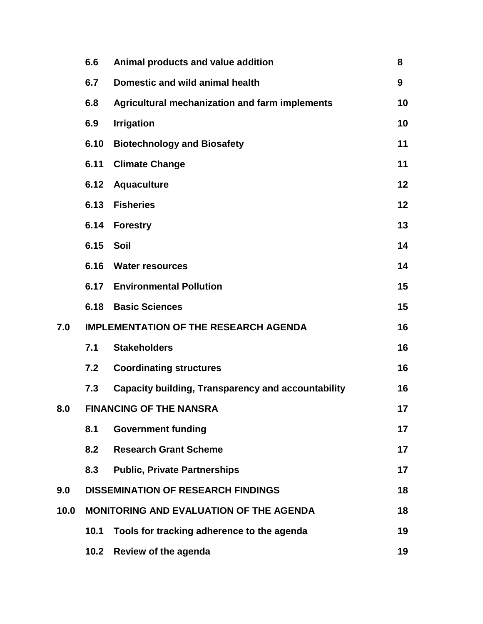|      | 6.6                                            | Animal products and value addition                        | 8  |
|------|------------------------------------------------|-----------------------------------------------------------|----|
|      | 6.7                                            | Domestic and wild animal health                           | 9  |
|      | 6.8                                            | <b>Agricultural mechanization and farm implements</b>     | 10 |
|      | 6.9                                            | <b>Irrigation</b>                                         | 10 |
|      | 6.10                                           | <b>Biotechnology and Biosafety</b>                        | 11 |
|      | 6.11                                           | <b>Climate Change</b>                                     | 11 |
|      | 6.12                                           | <b>Aquaculture</b>                                        | 12 |
|      | 6.13                                           | <b>Fisheries</b>                                          | 12 |
|      | 6.14                                           | <b>Forestry</b>                                           | 13 |
|      | 6.15                                           | Soil                                                      | 14 |
|      |                                                | 6.16 Water resources                                      | 14 |
|      |                                                | <b>6.17 Environmental Pollution</b>                       | 15 |
|      | 6.18                                           | <b>Basic Sciences</b>                                     | 15 |
| 7.0  | <b>IMPLEMENTATION OF THE RESEARCH AGENDA</b>   |                                                           |    |
|      | 7.1                                            | <b>Stakeholders</b>                                       | 16 |
|      | 7.2                                            | <b>Coordinating structures</b>                            | 16 |
|      | 7.3                                            | <b>Capacity building, Transparency and accountability</b> | 16 |
| 8.0  | <b>FINANCING OF THE NANSRA</b>                 |                                                           |    |
|      | 8.1                                            | <b>Government funding</b>                                 | 17 |
|      | 8.2                                            | <b>Research Grant Scheme</b>                              | 17 |
|      | 8.3                                            | <b>Public, Private Partnerships</b>                       | 17 |
| 9.0  | <b>DISSEMINATION OF RESEARCH FINDINGS</b>      |                                                           | 18 |
| 10.0 | <b>MONITORING AND EVALUATION OF THE AGENDA</b> |                                                           | 18 |
|      | 10.1                                           | Tools for tracking adherence to the agenda                | 19 |
|      | 10.2                                           | Review of the agenda                                      | 19 |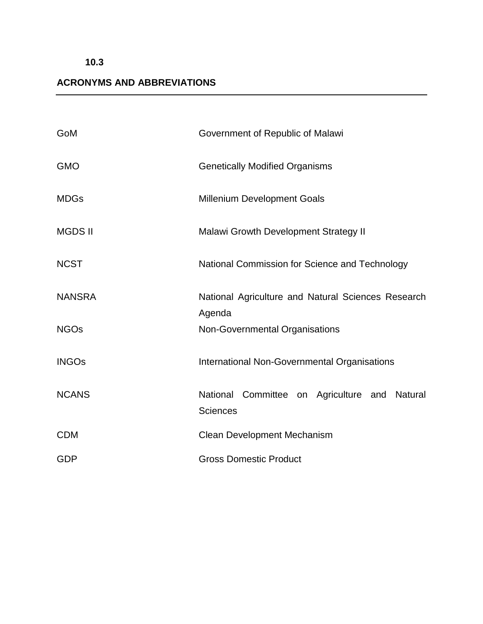## **10.3**

## **ACRONYMS AND ABBREVIATIONS**

| GoM            | Government of Republic of Malawi                                 |
|----------------|------------------------------------------------------------------|
| <b>GMO</b>     | <b>Genetically Modified Organisms</b>                            |
| <b>MDGs</b>    | <b>Millenium Development Goals</b>                               |
| <b>MGDS II</b> | <b>Malawi Growth Development Strategy II</b>                     |
| <b>NCST</b>    | National Commission for Science and Technology                   |
| <b>NANSRA</b>  | National Agriculture and Natural Sciences Research<br>Agenda     |
| <b>NGOs</b>    | Non-Governmental Organisations                                   |
| <b>INGOs</b>   | <b>International Non-Governmental Organisations</b>              |
| <b>NCANS</b>   | National Committee on Agriculture and Natural<br><b>Sciences</b> |
| <b>CDM</b>     | Clean Development Mechanism                                      |
| <b>GDP</b>     | <b>Gross Domestic Product</b>                                    |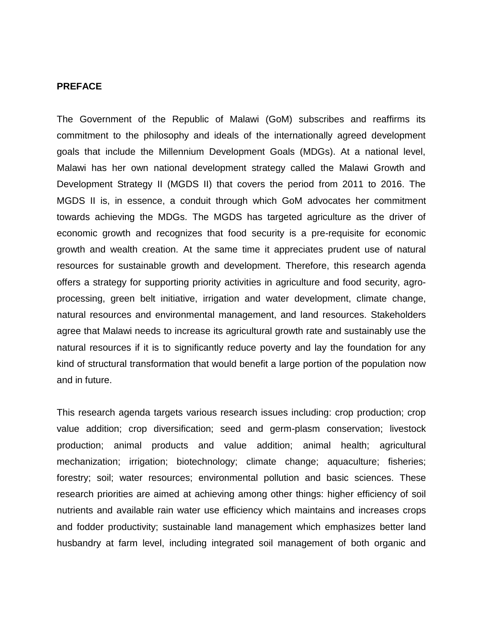#### **PREFACE**

The Government of the Republic of Malawi (GoM) subscribes and reaffirms its commitment to the philosophy and ideals of the internationally agreed development goals that include the Millennium Development Goals (MDGs). At a national level, Malawi has her own national development strategy called the Malawi Growth and Development Strategy II (MGDS II) that covers the period from 2011 to 2016. The MGDS II is, in essence, a conduit through which GoM advocates her commitment towards achieving the MDGs. The MGDS has targeted agriculture as the driver of economic growth and recognizes that food security is a pre-requisite for economic growth and wealth creation. At the same time it appreciates prudent use of natural resources for sustainable growth and development. Therefore, this research agenda offers a strategy for supporting priority activities in agriculture and food security, agroprocessing, green belt initiative, irrigation and water development, climate change, natural resources and environmental management, and land resources. Stakeholders agree that Malawi needs to increase its agricultural growth rate and sustainably use the natural resources if it is to significantly reduce poverty and lay the foundation for any kind of structural transformation that would benefit a large portion of the population now and in future.

This research agenda targets various research issues including: crop production; crop value addition; crop diversification; seed and germ-plasm conservation; livestock production; animal products and value addition; animal health; agricultural mechanization; irrigation; biotechnology; climate change; aquaculture; fisheries; forestry; soil; water resources; environmental pollution and basic sciences. These research priorities are aimed at achieving among other things: higher efficiency of soil nutrients and available rain water use efficiency which maintains and increases crops and fodder productivity; sustainable land management which emphasizes better land husbandry at farm level, including integrated soil management of both organic and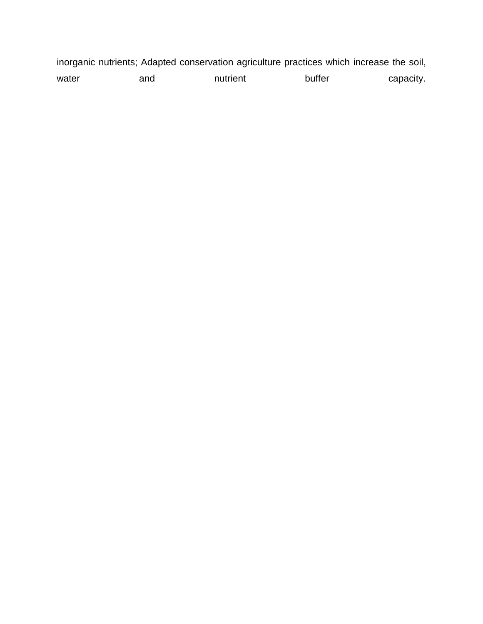inorganic nutrients; Adapted conservation agriculture practices which increase the soil, water and nutrient buffer capacity.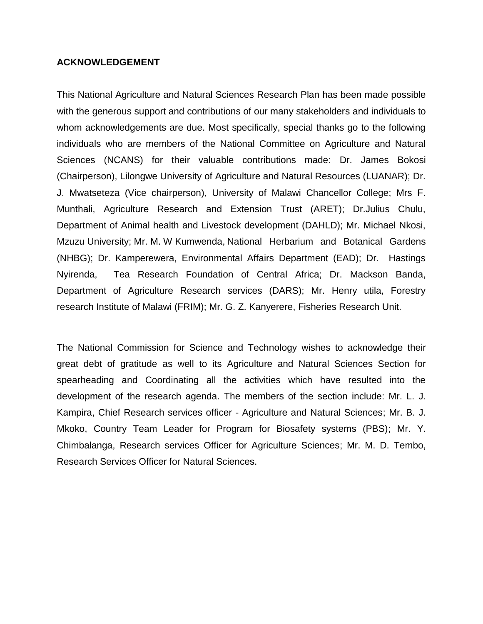#### **ACKNOWLEDGEMENT**

This National Agriculture and Natural Sciences Research Plan has been made possible with the generous support and contributions of our many stakeholders and individuals to whom acknowledgements are due. Most specifically, special thanks go to the following individuals who are members of the National Committee on Agriculture and Natural Sciences (NCANS) for their valuable contributions made: Dr. James Bokosi (Chairperson), Lilongwe University of Agriculture and Natural Resources (LUANAR); Dr. J. Mwatseteza (Vice chairperson), University of Malawi Chancellor College; Mrs F. Munthali, Agriculture Research and Extension Trust (ARET); Dr.Julius Chulu, Department of Animal health and Livestock development (DAHLD); Mr. Michael Nkosi, Mzuzu University; Mr. M. W Kumwenda, National Herbarium and Botanical Gardens (NHBG); Dr. Kamperewera, Environmental Affairs Department (EAD); Dr. Hastings Nyirenda, Tea Research Foundation of Central Africa; Dr. Mackson Banda, Department of Agriculture Research services (DARS); Mr. Henry utila, Forestry research Institute of Malawi (FRIM); Mr. G. Z. Kanyerere, Fisheries Research Unit.

The National Commission for Science and Technology wishes to acknowledge their great debt of gratitude as well to its Agriculture and Natural Sciences Section for spearheading and Coordinating all the activities which have resulted into the development of the research agenda. The members of the section include: Mr. L. J. Kampira, Chief Research services officer - Agriculture and Natural Sciences; Mr. B. J. Mkoko, Country Team Leader for Program for Biosafety systems (PBS); Mr. Y. Chimbalanga, Research services Officer for Agriculture Sciences; Mr. M. D. Tembo, Research Services Officer for Natural Sciences.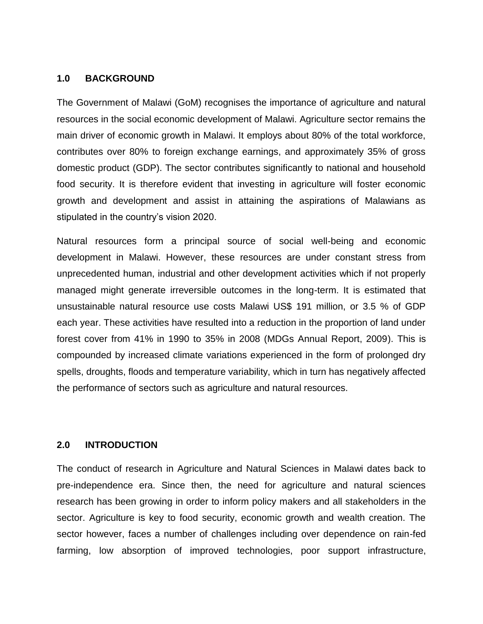#### **1.0 BACKGROUND**

The Government of Malawi (GoM) recognises the importance of agriculture and natural resources in the social economic development of Malawi. Agriculture sector remains the main driver of economic growth in Malawi. It employs about 80% of the total workforce, contributes over 80% to foreign exchange earnings, and approximately 35% of gross domestic product (GDP). The sector contributes significantly to national and household food security. It is therefore evident that investing in agriculture will foster economic growth and development and assist in attaining the aspirations of Malawians as stipulated in the country's vision 2020.

Natural resources form a principal source of social well-being and economic development in Malawi. However, these resources are under constant stress from unprecedented human, industrial and other development activities which if not properly managed might generate irreversible outcomes in the long-term. It is estimated that unsustainable natural resource use costs Malawi US\$ 191 million, or 3.5 % of GDP each year. These activities have resulted into a reduction in the proportion of land under forest cover from 41% in 1990 to 35% in 2008 (MDGs Annual Report, 2009). This is compounded by increased climate variations experienced in the form of prolonged dry spells, droughts, floods and temperature variability, which in turn has negatively affected the performance of sectors such as agriculture and natural resources.

#### **2.0 INTRODUCTION**

The conduct of research in Agriculture and Natural Sciences in Malawi dates back to pre-independence era. Since then, the need for agriculture and natural sciences research has been growing in order to inform policy makers and all stakeholders in the sector. Agriculture is key to food security, economic growth and wealth creation. The sector however, faces a number of challenges including over dependence on rain-fed farming, low absorption of improved technologies, poor support infrastructure,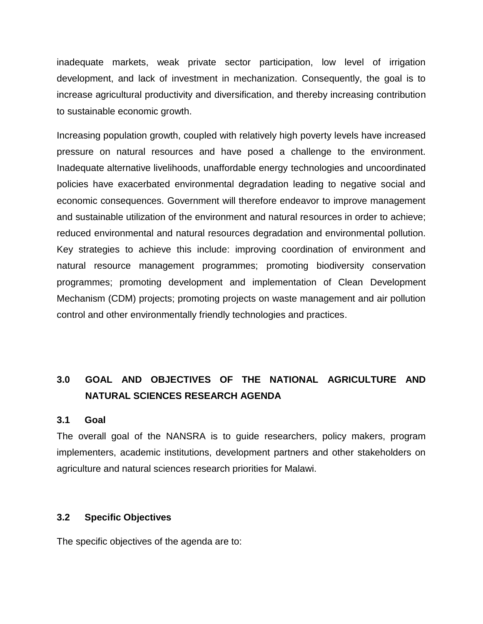inadequate markets, weak private sector participation, low level of irrigation development, and lack of investment in mechanization. Consequently, the goal is to increase agricultural productivity and diversification, and thereby increasing contribution to sustainable economic growth.

Increasing population growth, coupled with relatively high poverty levels have increased pressure on natural resources and have posed a challenge to the environment. Inadequate alternative livelihoods, unaffordable energy technologies and uncoordinated policies have exacerbated environmental degradation leading to negative social and economic consequences. Government will therefore endeavor to improve management and sustainable utilization of the environment and natural resources in order to achieve; reduced environmental and natural resources degradation and environmental pollution. Key strategies to achieve this include: improving coordination of environment and natural resource management programmes; promoting biodiversity conservation programmes; promoting development and implementation of Clean Development Mechanism (CDM) projects; promoting projects on waste management and air pollution control and other environmentally friendly technologies and practices.

# **3.0 GOAL AND OBJECTIVES OF THE NATIONAL AGRICULTURE AND NATURAL SCIENCES RESEARCH AGENDA**

#### **3.1 Goal**

The overall goal of the NANSRA is to guide researchers, policy makers, program implementers, academic institutions, development partners and other stakeholders on agriculture and natural sciences research priorities for Malawi.

#### **3.2 Specific Objectives**

The specific objectives of the agenda are to: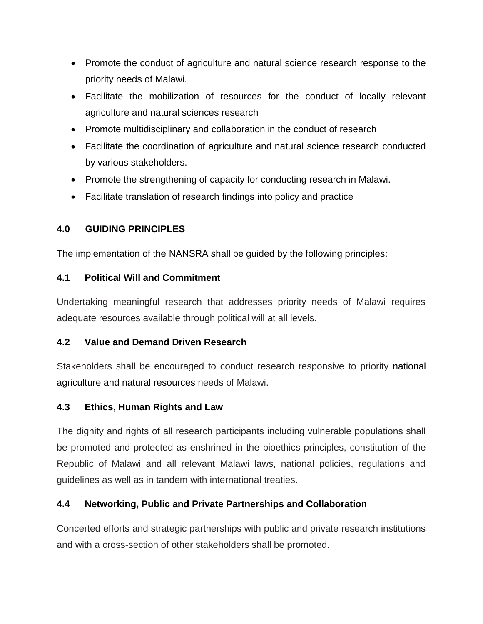- Promote the conduct of agriculture and natural science research response to the priority needs of Malawi.
- Facilitate the mobilization of resources for the conduct of locally relevant agriculture and natural sciences research
- Promote multidisciplinary and collaboration in the conduct of research
- Facilitate the coordination of agriculture and natural science research conducted by various stakeholders.
- Promote the strengthening of capacity for conducting research in Malawi.
- Facilitate translation of research findings into policy and practice

## **4.0 GUIDING PRINCIPLES**

The implementation of the NANSRA shall be guided by the following principles:

## **4.1 Political Will and Commitment**

Undertaking meaningful research that addresses priority needs of Malawi requires adequate resources available through political will at all levels.

## **4.2 Value and Demand Driven Research**

Stakeholders shall be encouraged to conduct research responsive to priority national agriculture and natural resources needs of Malawi.

## **4.3 Ethics, Human Rights and Law**

The dignity and rights of all research participants including vulnerable populations shall be promoted and protected as enshrined in the bioethics principles, constitution of the Republic of Malawi and all relevant Malawi laws, national policies, regulations and guidelines as well as in tandem with international treaties.

## **4.4 Networking, Public and Private Partnerships and Collaboration**

Concerted efforts and strategic partnerships with public and private research institutions and with a cross-section of other stakeholders shall be promoted.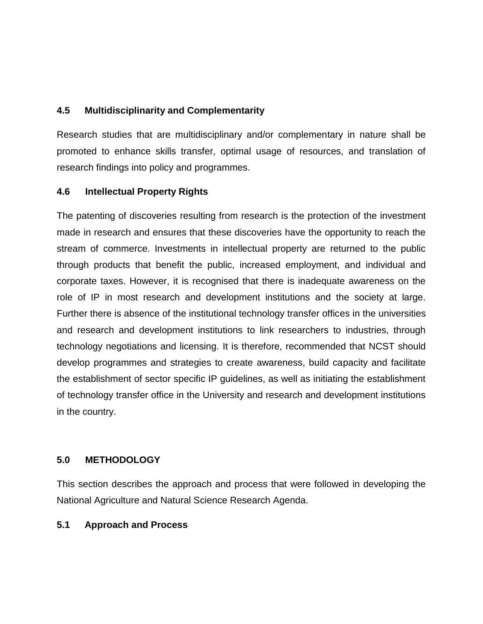#### **4.5 Multidisciplinarity and Complementarity**

Research studies that are multidisciplinary and/or complementary in nature shall be promoted to enhance skills transfer, optimal usage of resources, and translation of research findings into policy and programmes.

#### **4.6 Intellectual Property Rights**

The patenting of discoveries resulting from research is the protection of the investment made in research and ensures that these discoveries have the opportunity to reach the stream of commerce. Investments in intellectual property are returned to the public through products that benefit the public, increased employment, and individual and corporate taxes. However, it is recognised that there is inadequate awareness on the role of IP in most research and development institutions and the society at large. Further there is absence of the institutional technology transfer offices in the universities and research and development institutions to link researchers to industries, through technology negotiations and licensing. It is therefore, recommended that NCST should develop programmes and strategies to create awareness, build capacity and facilitate the establishment of sector specific IP guidelines, as well as initiating the establishment of technology transfer office in the University and research and development institutions in the country.

### **5.0 METHODOLOGY**

This section describes the approach and process that were followed in developing the National Agriculture and Natural Science Research Agenda.

#### **5.1 Approach and Process**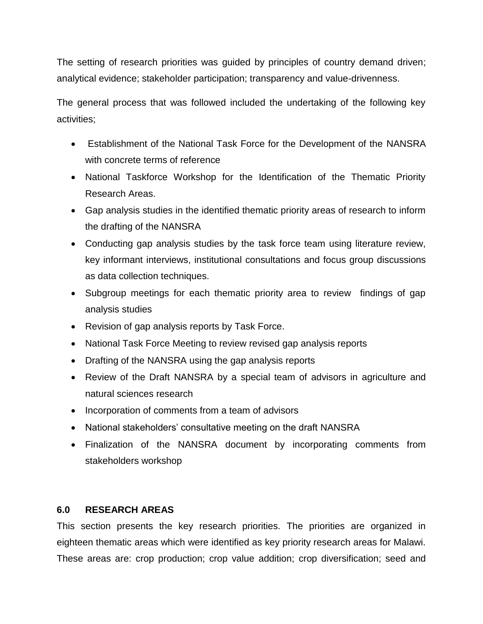The setting of research priorities was guided by principles of country demand driven; analytical evidence; stakeholder participation; transparency and value-drivenness.

The general process that was followed included the undertaking of the following key activities;

- Establishment of the National Task Force for the Development of the NANSRA with concrete terms of reference
- National Taskforce Workshop for the Identification of the Thematic Priority Research Areas.
- Gap analysis studies in the identified thematic priority areas of research to inform the drafting of the NANSRA
- Conducting gap analysis studies by the task force team using literature review, key informant interviews, institutional consultations and focus group discussions as data collection techniques.
- Subgroup meetings for each thematic priority area to review findings of gap analysis studies
- Revision of gap analysis reports by Task Force.
- National Task Force Meeting to review revised gap analysis reports
- Drafting of the NANSRA using the gap analysis reports
- Review of the Draft NANSRA by a special team of advisors in agriculture and natural sciences research
- Incorporation of comments from a team of advisors
- National stakeholders' consultative meeting on the draft NANSRA
- Finalization of the NANSRA document by incorporating comments from stakeholders workshop

#### **6.0 RESEARCH AREAS**

This section presents the key research priorities. The priorities are organized in eighteen thematic areas which were identified as key priority research areas for Malawi. These areas are: crop production; crop value addition; crop diversification; seed and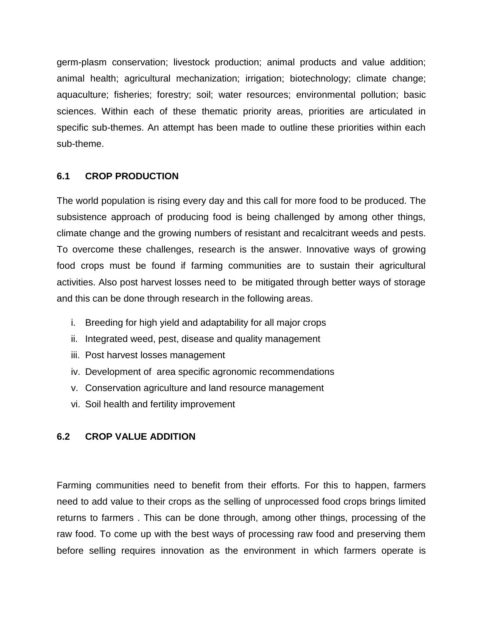germ-plasm conservation; livestock production; animal products and value addition; animal health; agricultural mechanization; irrigation; biotechnology; climate change; aquaculture; fisheries; forestry; soil; water resources; environmental pollution; basic sciences. Within each of these thematic priority areas, priorities are articulated in specific sub-themes. An attempt has been made to outline these priorities within each sub-theme.

#### **6.1 CROP PRODUCTION**

The world population is rising every day and this call for more food to be produced. The subsistence approach of producing food is being challenged by among other things, climate change and the growing numbers of resistant and recalcitrant weeds and pests. To overcome these challenges, research is the answer. Innovative ways of growing food crops must be found if farming communities are to sustain their agricultural activities. Also post harvest losses need to be mitigated through better ways of storage and this can be done through research in the following areas.

- i. Breeding for high yield and adaptability for all major crops
- ii. Integrated weed, pest, disease and quality management
- iii. Post harvest losses management
- iv. Development of area specific agronomic recommendations
- v. Conservation agriculture and land resource management
- vi. Soil health and fertility improvement

### **6.2 CROP VALUE ADDITION**

Farming communities need to benefit from their efforts. For this to happen, farmers need to add value to their crops as the selling of unprocessed food crops brings limited returns to farmers . This can be done through, among other things, processing of the raw food. To come up with the best ways of processing raw food and preserving them before selling requires innovation as the environment in which farmers operate is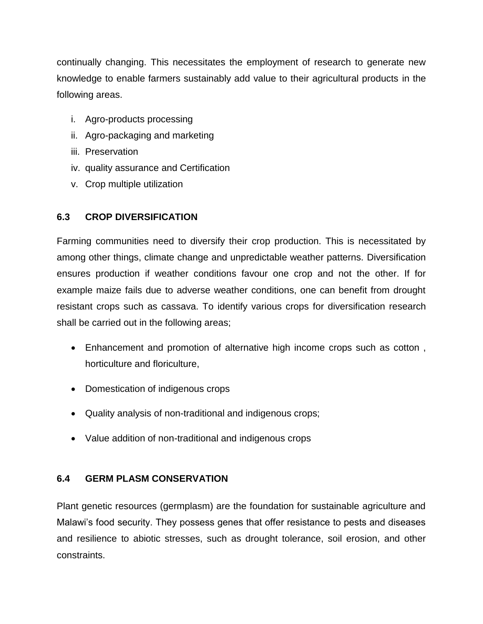continually changing. This necessitates the employment of research to generate new knowledge to enable farmers sustainably add value to their agricultural products in the following areas.

- i. Agro-products processing
- ii. Agro-packaging and marketing
- iii. Preservation
- iv. quality assurance and Certification
- v. Crop multiple utilization

### **6.3 CROP DIVERSIFICATION**

Farming communities need to diversify their crop production. This is necessitated by among other things, climate change and unpredictable weather patterns. Diversification ensures production if weather conditions favour one crop and not the other. If for example maize fails due to adverse weather conditions, one can benefit from drought resistant crops such as cassava. To identify various crops for diversification research shall be carried out in the following areas;

- Enhancement and promotion of alternative high income crops such as cotton , horticulture and floriculture,
- Domestication of indigenous crops
- Quality analysis of non-traditional and indigenous crops;
- Value addition of non-traditional and indigenous crops

### **6.4 GERM PLASM CONSERVATION**

Plant genetic resources (germplasm) are the foundation for sustainable agriculture and Malawi's food security. They possess genes that offer resistance to pests and diseases and resilience to abiotic stresses, such as drought tolerance, soil erosion, and other constraints.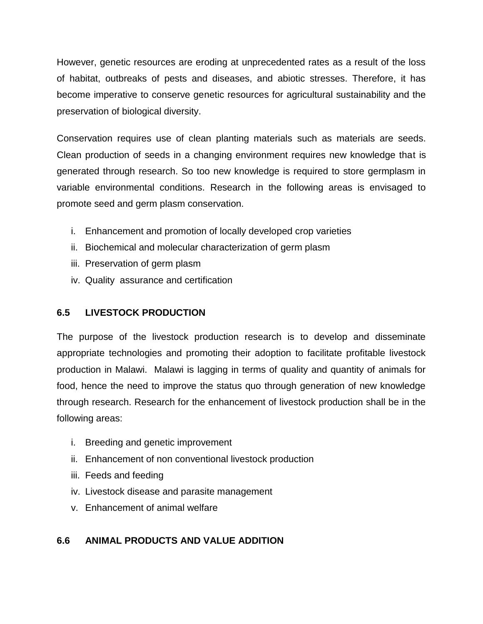However, genetic resources are eroding at unprecedented rates as a result of the loss of habitat, outbreaks of pests and diseases, and abiotic stresses. Therefore, it has become imperative to conserve genetic resources for agricultural sustainability and the preservation of biological diversity.

Conservation requires use of clean planting materials such as materials are seeds. Clean production of seeds in a changing environment requires new knowledge that is generated through research. So too new knowledge is required to store germplasm in variable environmental conditions. Research in the following areas is envisaged to promote seed and germ plasm conservation.

- i. Enhancement and promotion of locally developed crop varieties
- ii. Biochemical and molecular characterization of germ plasm
- iii. Preservation of germ plasm
- iv. Quality assurance and certification

### **6.5 LIVESTOCK PRODUCTION**

The purpose of the livestock production research is to develop and disseminate appropriate technologies and promoting their adoption to facilitate profitable livestock production in Malawi. Malawi is lagging in terms of quality and quantity of animals for food, hence the need to improve the status quo through generation of new knowledge through research. Research for the enhancement of livestock production shall be in the following areas:

- i. Breeding and genetic improvement
- ii. Enhancement of non conventional livestock production
- iii. Feeds and feeding
- iv. Livestock disease and parasite management
- v. Enhancement of animal welfare

## **6.6 ANIMAL PRODUCTS AND VALUE ADDITION**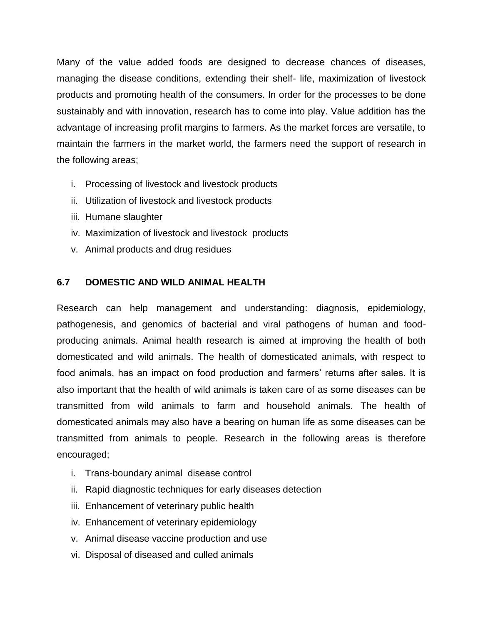Many of the value added foods are designed to decrease chances of diseases, managing the disease conditions, extending their shelf- life, maximization of livestock products and promoting health of the consumers. In order for the processes to be done sustainably and with innovation, research has to come into play. Value addition has the advantage of increasing profit margins to farmers. As the market forces are versatile, to maintain the farmers in the market world, the farmers need the support of research in the following areas;

- i. Processing of livestock and livestock products
- ii. Utilization of livestock and livestock products
- iii. Humane slaughter
- iv. Maximization of livestock and livestock products
- v. Animal products and drug residues

#### **6.7 DOMESTIC AND WILD ANIMAL HEALTH**

Research can help management and understanding: diagnosis, epidemiology, pathogenesis, and genomics of bacterial and viral pathogens of human and foodproducing animals. Animal health research is aimed at improving the health of both domesticated and wild animals. The health of domesticated animals, with respect to food animals, has an impact on food production and farmers' returns after sales. It is also important that the health of wild animals is taken care of as some diseases can be transmitted from wild animals to farm and household animals. The health of domesticated animals may also have a bearing on human life as some diseases can be transmitted from animals to people. Research in the following areas is therefore encouraged;

- i. Trans-boundary animal disease control
- ii. Rapid diagnostic techniques for early diseases detection
- iii. Enhancement of veterinary public health
- iv. Enhancement of veterinary epidemiology
- v. Animal disease vaccine production and use
- vi. Disposal of diseased and culled animals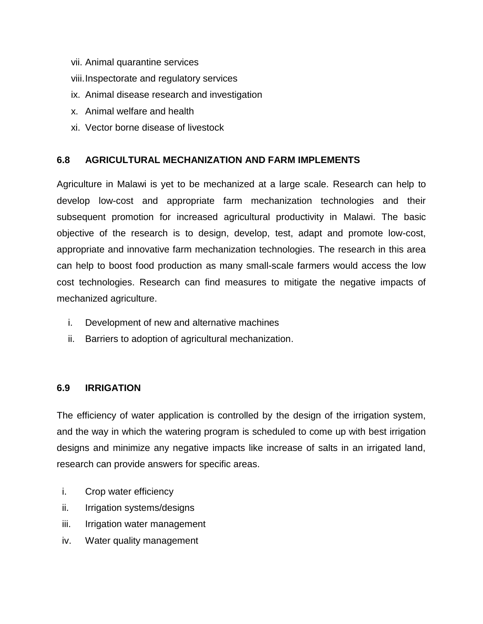- vii. Animal quarantine services
- viii.Inspectorate and regulatory services
- ix. Animal disease research and investigation
- x. Animal welfare and health
- xi. Vector borne disease of livestock

### **6.8 AGRICULTURAL MECHANIZATION AND FARM IMPLEMENTS**

Agriculture in Malawi is yet to be mechanized at a large scale. Research can help to develop low-cost and appropriate farm mechanization technologies and their subsequent promotion for increased agricultural productivity in Malawi. The basic objective of the research is to design, develop, test, adapt and promote low-cost, appropriate and innovative farm mechanization technologies. The research in this area can help to boost food production as many small-scale farmers would access the low cost technologies. Research can find measures to mitigate the negative impacts of mechanized agriculture.

- i. Development of new and alternative machines
- ii. Barriers to adoption of agricultural mechanization.

#### **6.9 IRRIGATION**

The efficiency of water application is controlled by the design of the irrigation system, and the way in which the watering program is scheduled to come up with best irrigation designs and minimize any negative impacts like increase of salts in an irrigated land, research can provide answers for specific areas.

- i. Crop water efficiency
- ii. Irrigation systems/designs
- iii. Irrigation water management
- iv. Water quality management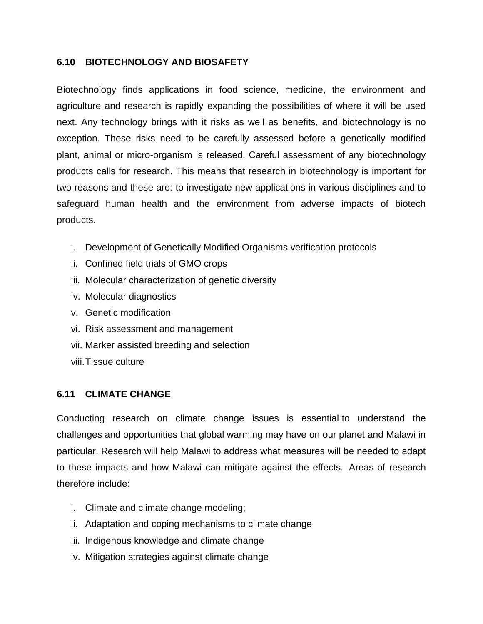#### **6.10 BIOTECHNOLOGY AND BIOSAFETY**

Biotechnology finds applications in food science, medicine, the environment and agriculture and research is rapidly expanding the possibilities of where it will be used next. Any technology brings with it risks as well as benefits, and biotechnology is no exception. These risks need to be carefully assessed before a genetically modified plant, animal or micro-organism is released. Careful assessment of any biotechnology products calls for research. This means that research in biotechnology is important for two reasons and these are: to investigate new applications in various disciplines and to safeguard human health and the environment from adverse impacts of biotech products.

- i. Development of Genetically Modified Organisms verification protocols
- ii. Confined field trials of GMO crops
- iii. Molecular characterization of genetic diversity
- iv. Molecular diagnostics
- v. Genetic modification
- vi. Risk assessment and management
- vii. Marker assisted breeding and selection
- viii.Tissue culture

### **6.11 CLIMATE CHANGE**

Conducting research on climate change issues is essential to understand the challenges and opportunities that global warming may have on our planet and Malawi in particular. Research will help Malawi to address what measures will be needed to adapt to these impacts and how Malawi can mitigate against the effects. Areas of research therefore include:

- i. Climate and climate change modeling;
- ii. Adaptation and coping mechanisms to climate change
- iii. Indigenous knowledge and climate change
- iv. Mitigation strategies against climate change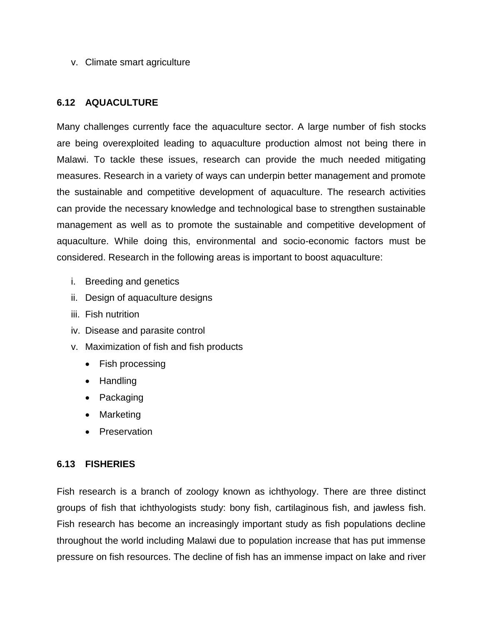v. Climate smart agriculture

#### **6.12 AQUACULTURE**

Many challenges currently face the aquaculture sector. A large number of fish stocks are being overexploited leading to aquaculture production almost not being there in Malawi. To tackle these issues, research can provide the much needed mitigating measures. Research in a variety of ways can underpin better management and promote the sustainable and competitive development of aquaculture. The research activities can provide the necessary knowledge and technological base to strengthen sustainable management as well as to promote the sustainable and competitive development of aquaculture. While doing this, environmental and socio-economic factors must be considered. Research in the following areas is important to boost aquaculture:

- i. Breeding and genetics
- ii. Design of aquaculture designs
- iii. Fish nutrition
- iv. Disease and parasite control
- v. Maximization of fish and fish products
	- Fish processing
	- Handling
	- Packaging
	- Marketing
	- Preservation

#### **6.13 FISHERIES**

Fish research is a branch of zoology known as ichthyology. There are three distinct groups of fish that ichthyologists study: bony fish, cartilaginous fish, and jawless fish. Fish research has become an increasingly important study as fish populations decline throughout the world including Malawi due to population increase that has put immense pressure on fish resources. The decline of fish has an immense impact on lake and river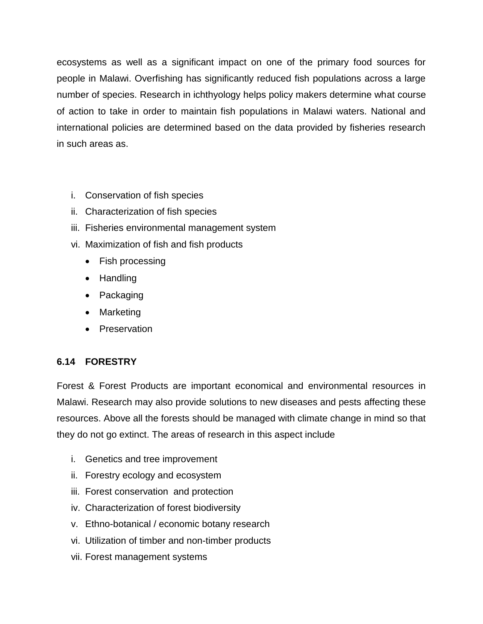ecosystems as well as a significant impact on one of the primary food sources for people in Malawi. Overfishing has significantly reduced fish populations across a large number of species. Research in ichthyology helps policy makers determine what course of action to take in order to maintain fish populations in Malawi waters. National and international policies are determined based on the data provided by fisheries research in such areas as.

- i. Conservation of fish species
- ii. Characterization of fish species
- iii. Fisheries environmental management system
- vi. Maximization of fish and fish products
	- Fish processing
	- Handling
	- Packaging
	- Marketing
	- Preservation

### **6.14 FORESTRY**

Forest & Forest Products are important economical and environmental resources in Malawi. Research may also provide solutions to new diseases and pests affecting these resources. Above all the forests should be managed with climate change in mind so that they do not go extinct. The areas of research in this aspect include

- i. Genetics and tree improvement
- ii. Forestry ecology and ecosystem
- iii. Forest conservation and protection
- iv. Characterization of forest biodiversity
- v. Ethno-botanical / economic botany research
- vi. Utilization of timber and non-timber products
- vii. Forest management systems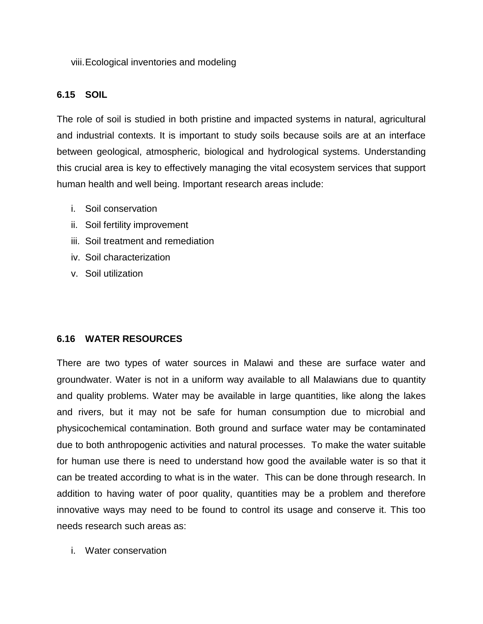viii.Ecological inventories and modeling

### **6.15 SOIL**

The role of soil is studied in both pristine and impacted systems in natural, agricultural and industrial contexts. It is important to study soils because soils are at an interface between geological, atmospheric, biological and hydrological systems. Understanding this crucial area is key to effectively managing the vital ecosystem services that support human health and well being. Important research areas include:

- i. Soil conservation
- ii. Soil fertility improvement
- iii. Soil treatment and remediation
- iv. Soil characterization
- v. Soil utilization

### **6.16 WATER RESOURCES**

There are two types of water sources in Malawi and these are surface water and groundwater. Water is not in a uniform way available to all Malawians due to quantity and quality problems. Water may be available in large quantities, like along the lakes and rivers, but it may not be safe for human consumption due to microbial and physicochemical contamination. Both ground and surface water may be contaminated due to both anthropogenic activities and natural processes. To make the water suitable for human use there is need to understand how good the available water is so that it can be treated according to what is in the water. This can be done through research. In addition to having water of poor quality, quantities may be a problem and therefore innovative ways may need to be found to control its usage and conserve it. This too needs research such areas as:

i. Water conservation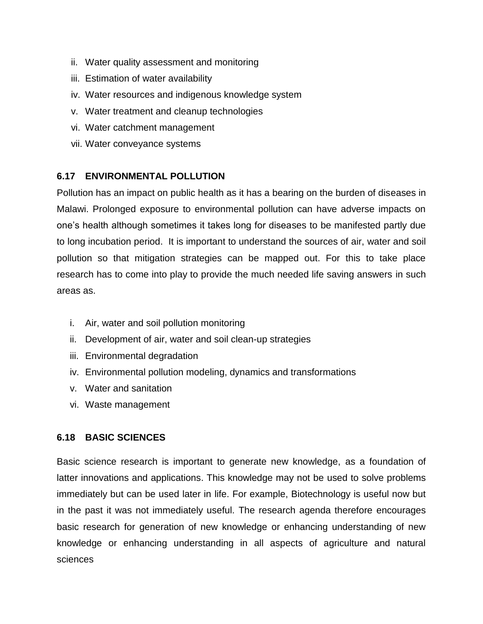- ii. Water quality assessment and monitoring
- iii. Estimation of water availability
- iv. Water resources and indigenous knowledge system
- v. Water treatment and cleanup technologies
- vi. Water catchment management
- vii. Water conveyance systems

### **6.17 ENVIRONMENTAL POLLUTION**

Pollution has an impact on public health as it has a bearing on the burden of diseases in Malawi. Prolonged exposure to environmental pollution can have adverse impacts on one's health although sometimes it takes long for diseases to be manifested partly due to long incubation period. It is important to understand the sources of air, water and soil pollution so that mitigation strategies can be mapped out. For this to take place research has to come into play to provide the much needed life saving answers in such areas as.

- i. Air, water and soil pollution monitoring
- ii. Development of air, water and soil clean-up strategies
- iii. Environmental degradation
- iv. Environmental pollution modeling, dynamics and transformations
- v. Water and sanitation
- vi. Waste management

### **6.18 BASIC SCIENCES**

Basic science research is important to generate new knowledge, as a foundation of latter innovations and applications. This knowledge may not be used to solve problems immediately but can be used later in life. For example, Biotechnology is useful now but in the past it was not immediately useful. The research agenda therefore encourages basic research for generation of new knowledge or enhancing understanding of new knowledge or enhancing understanding in all aspects of agriculture and natural sciences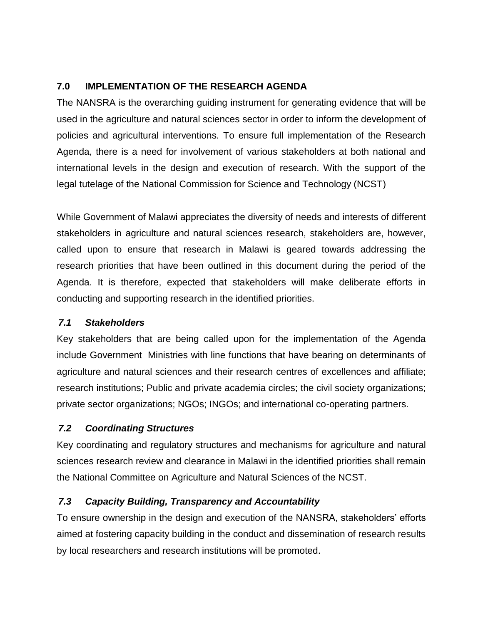## **7.0 IMPLEMENTATION OF THE RESEARCH AGENDA**

The NANSRA is the overarching guiding instrument for generating evidence that will be used in the agriculture and natural sciences sector in order to inform the development of policies and agricultural interventions. To ensure full implementation of the Research Agenda, there is a need for involvement of various stakeholders at both national and international levels in the design and execution of research. With the support of the legal tutelage of the National Commission for Science and Technology (NCST)

While Government of Malawi appreciates the diversity of needs and interests of different stakeholders in agriculture and natural sciences research, stakeholders are, however, called upon to ensure that research in Malawi is geared towards addressing the research priorities that have been outlined in this document during the period of the Agenda. It is therefore, expected that stakeholders will make deliberate efforts in conducting and supporting research in the identified priorities.

### *7.1 Stakeholders*

Key stakeholders that are being called upon for the implementation of the Agenda include Government Ministries with line functions that have bearing on determinants of agriculture and natural sciences and their research centres of excellences and affiliate; research institutions; Public and private academia circles; the civil society organizations; private sector organizations; NGOs; INGOs; and international co-operating partners.

### *7.2 Coordinating Structures*

Key coordinating and regulatory structures and mechanisms for agriculture and natural sciences research review and clearance in Malawi in the identified priorities shall remain the National Committee on Agriculture and Natural Sciences of the NCST.

### *7.3 Capacity Building, Transparency and Accountability*

To ensure ownership in the design and execution of the NANSRA, stakeholders' efforts aimed at fostering capacity building in the conduct and dissemination of research results by local researchers and research institutions will be promoted.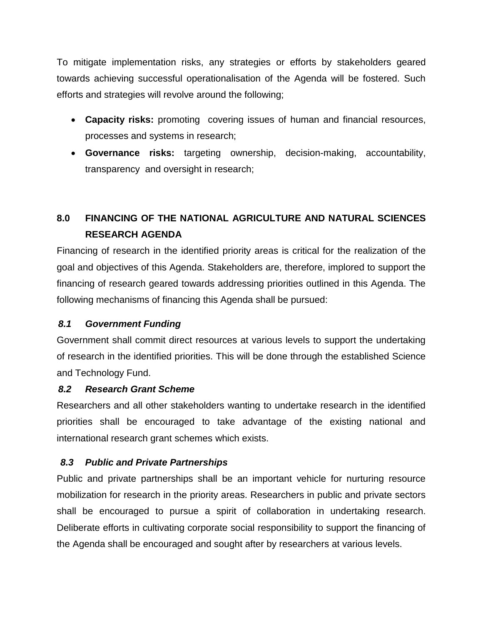To mitigate implementation risks, any strategies or efforts by stakeholders geared towards achieving successful operationalisation of the Agenda will be fostered. Such efforts and strategies will revolve around the following;

- **Capacity risks:** promoting covering issues of human and financial resources, processes and systems in research;
- **Governance risks:** targeting ownership, decision-making, accountability, transparency and oversight in research;

# **8.0 FINANCING OF THE NATIONAL AGRICULTURE AND NATURAL SCIENCES RESEARCH AGENDA**

Financing of research in the identified priority areas is critical for the realization of the goal and objectives of this Agenda. Stakeholders are, therefore, implored to support the financing of research geared towards addressing priorities outlined in this Agenda. The following mechanisms of financing this Agenda shall be pursued:

### *8.1 Government Funding*

Government shall commit direct resources at various levels to support the undertaking of research in the identified priorities. This will be done through the established Science and Technology Fund.

### *8.2 Research Grant Scheme*

Researchers and all other stakeholders wanting to undertake research in the identified priorities shall be encouraged to take advantage of the existing national and international research grant schemes which exists.

## *8.3 Public and Private Partnerships*

Public and private partnerships shall be an important vehicle for nurturing resource mobilization for research in the priority areas. Researchers in public and private sectors shall be encouraged to pursue a spirit of collaboration in undertaking research. Deliberate efforts in cultivating corporate social responsibility to support the financing of the Agenda shall be encouraged and sought after by researchers at various levels.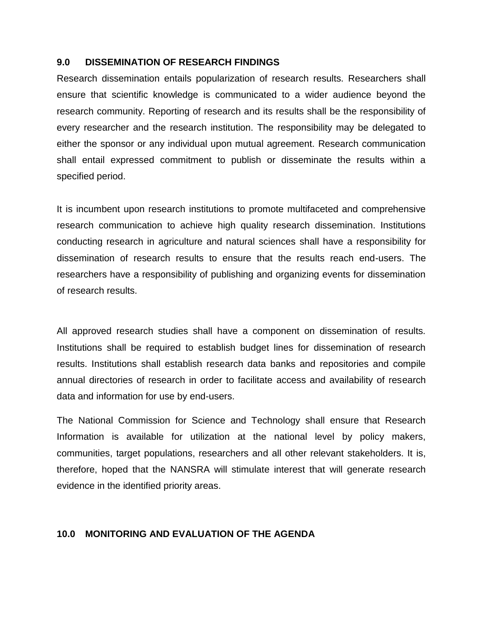#### **9.0 DISSEMINATION OF RESEARCH FINDINGS**

Research dissemination entails popularization of research results. Researchers shall ensure that scientific knowledge is communicated to a wider audience beyond the research community. Reporting of research and its results shall be the responsibility of every researcher and the research institution. The responsibility may be delegated to either the sponsor or any individual upon mutual agreement. Research communication shall entail expressed commitment to publish or disseminate the results within a specified period.

It is incumbent upon research institutions to promote multifaceted and comprehensive research communication to achieve high quality research dissemination. Institutions conducting research in agriculture and natural sciences shall have a responsibility for dissemination of research results to ensure that the results reach end-users. The researchers have a responsibility of publishing and organizing events for dissemination of research results.

All approved research studies shall have a component on dissemination of results. Institutions shall be required to establish budget lines for dissemination of research results. Institutions shall establish research data banks and repositories and compile annual directories of research in order to facilitate access and availability of research data and information for use by end-users.

The National Commission for Science and Technology shall ensure that Research Information is available for utilization at the national level by policy makers, communities, target populations, researchers and all other relevant stakeholders. It is, therefore, hoped that the NANSRA will stimulate interest that will generate research evidence in the identified priority areas.

#### **10.0 MONITORING AND EVALUATION OF THE AGENDA**